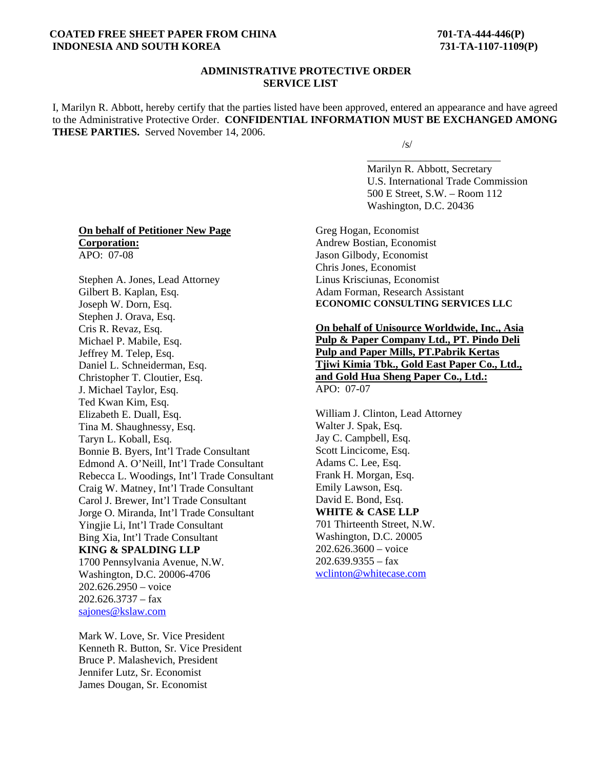## **COATED FREE SHEET PAPER FROM CHINA 701-TA-444-446(P) INDONESIA AND SOUTH KOREA 731-TA-1107-1109(P)**

## **ADMINISTRATIVE PROTECTIVE ORDER SERVICE LIST**

I, Marilyn R. Abbott, hereby certify that the parties listed have been approved, entered an appearance and have agreed to the Administrative Protective Order. **CONFIDENTIAL INFORMATION MUST BE EXCHANGED AMONG THESE PARTIES.** Served November 14, 2006.

 $\overline{\phantom{a}}$  , and the contract of the contract of the contract of the contract of the contract of the contract of the contract of the contract of the contract of the contract of the contract of the contract of the contrac

 $\sqrt{s}$ /s/

 Marilyn R. Abbott, Secretary U.S. International Trade Commission 500 E Street, S.W. – Room 112 Washington, D.C. 20436

## **On behalf of Petitioner New Page Corporation:** APO: 07-08

Stephen A. Jones, Lead Attorney Gilbert B. Kaplan, Esq. Joseph W. Dorn, Esq. Stephen J. Orava, Esq. Cris R. Revaz, Esq. Michael P. Mabile, Esq. Jeffrey M. Telep, Esq. Daniel L. Schneiderman, Esq. Christopher T. Cloutier, Esq. J. Michael Taylor, Esq. Ted Kwan Kim, Esq. Elizabeth E. Duall, Esq. Tina M. Shaughnessy, Esq. Taryn L. Koball, Esq. Bonnie B. Byers, Int'l Trade Consultant Edmond A. O'Neill, Int'l Trade Consultant Rebecca L. Woodings, Int'l Trade Consultant Craig W. Matney, Int'l Trade Consultant Carol J. Brewer, Int'l Trade Consultant Jorge O. Miranda, Int'l Trade Consultant Yingjie Li, Int'l Trade Consultant Bing Xia, Int'l Trade Consultant **KING & SPALDING LLP** 1700 Pennsylvania Avenue, N.W. Washington, D.C. 20006-4706 202.626.2950 – voice  $202.626.3737 - fax$ sajones@kslaw.com

Mark W. Love, Sr. Vice President Kenneth R. Button, Sr. Vice President Bruce P. Malashevich, President Jennifer Lutz, Sr. Economist James Dougan, Sr. Economist

Greg Hogan, Economist Andrew Bostian, Economist Jason Gilbody, Economist Chris Jones, Economist Linus Krisciunas, Economist Adam Forman, Research Assistant **ECONOMIC CONSULTING SERVICES LLC** 

**On behalf of Unisource Worldwide, Inc., Asia Pulp & Paper Company Ltd., PT. Pindo Deli Pulp and Paper Mills, PT.Pabrik Kertas Tjiwi Kimia Tbk., Gold East Paper Co., Ltd., and Gold Hua Sheng Paper Co., Ltd.:** APO: 07-07

William J. Clinton, Lead Attorney Walter J. Spak, Esq. Jay C. Campbell, Esq. Scott Lincicome, Esq. Adams C. Lee, Esq. Frank H. Morgan, Esq. Emily Lawson, Esq. David E. Bond, Esq. **WHITE & CASE LLP** 701 Thirteenth Street, N.W. Washington, D.C. 20005 202.626.3600 – voice  $202.639.9355 - fax$ wclinton@whitecase.com